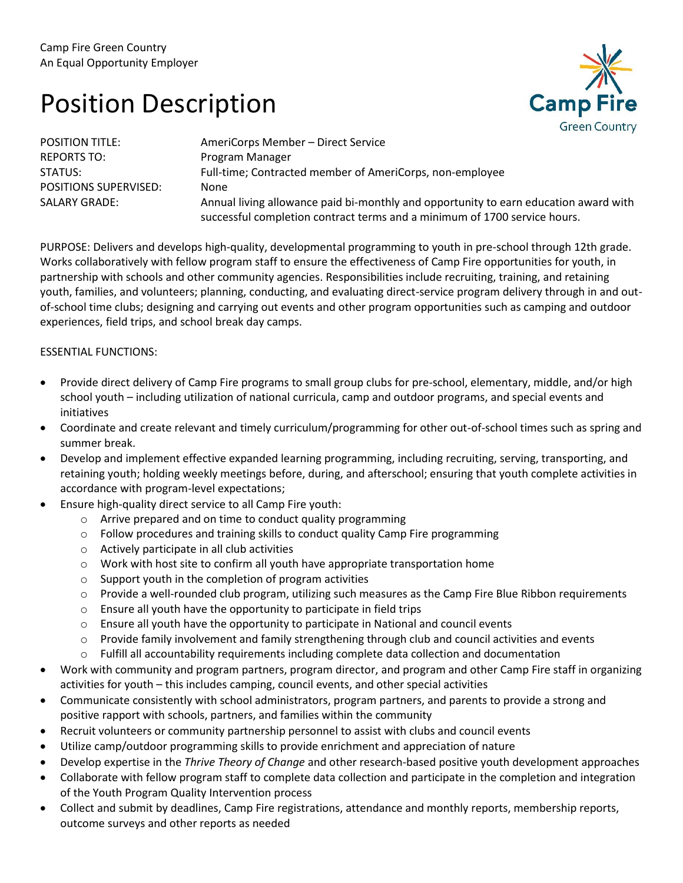## Position Description



| <b>POSITION TITLE:</b>       | AmeriCorps Member - Direct Service                                                                                                                                |
|------------------------------|-------------------------------------------------------------------------------------------------------------------------------------------------------------------|
| <b>REPORTS TO:</b>           | Program Manager                                                                                                                                                   |
| STATUS:                      | Full-time; Contracted member of AmeriCorps, non-employee                                                                                                          |
| <b>POSITIONS SUPERVISED:</b> | None                                                                                                                                                              |
| <b>SALARY GRADE:</b>         | Annual living allowance paid bi-monthly and opportunity to earn education award with<br>successful completion contract terms and a minimum of 1700 service hours. |

PURPOSE: Delivers and develops high-quality, developmental programming to youth in pre-school through 12th grade. Works collaboratively with fellow program staff to ensure the effectiveness of Camp Fire opportunities for youth, in partnership with schools and other community agencies. Responsibilities include recruiting, training, and retaining youth, families, and volunteers; planning, conducting, and evaluating direct-service program delivery through in and outof-school time clubs; designing and carrying out events and other program opportunities such as camping and outdoor experiences, field trips, and school break day camps.

## ESSENTIAL FUNCTIONS:

- Provide direct delivery of Camp Fire programs to small group clubs for pre-school, elementary, middle, and/or high school youth – including utilization of national curricula, camp and outdoor programs, and special events and initiatives
- Coordinate and create relevant and timely curriculum/programming for other out-of-school times such as spring and summer break.
- Develop and implement effective expanded learning programming, including recruiting, serving, transporting, and retaining youth; holding weekly meetings before, during, and afterschool; ensuring that youth complete activities in accordance with program-level expectations;
- Ensure high-quality direct service to all Camp Fire youth:
	- o Arrive prepared and on time to conduct quality programming
	- o Follow procedures and training skills to conduct quality Camp Fire programming
	- o Actively participate in all club activities
	- o Work with host site to confirm all youth have appropriate transportation home
	- o Support youth in the completion of program activities
	- o Provide a well-rounded club program, utilizing such measures as the Camp Fire Blue Ribbon requirements
	- o Ensure all youth have the opportunity to participate in field trips
	- o Ensure all youth have the opportunity to participate in National and council events
	- $\circ$  Provide family involvement and family strengthening through club and council activities and events
	- $\circ$  Fulfill all accountability requirements including complete data collection and documentation
- Work with community and program partners, program director, and program and other Camp Fire staff in organizing activities for youth – this includes camping, council events, and other special activities
- Communicate consistently with school administrators, program partners, and parents to provide a strong and positive rapport with schools, partners, and families within the community
- Recruit volunteers or community partnership personnel to assist with clubs and council events
- Utilize camp/outdoor programming skills to provide enrichment and appreciation of nature
- Develop expertise in the *Thrive Theory of Change* and other research-based positive youth development approaches
- Collaborate with fellow program staff to complete data collection and participate in the completion and integration of the Youth Program Quality Intervention process
- Collect and submit by deadlines, Camp Fire registrations, attendance and monthly reports, membership reports, outcome surveys and other reports as needed